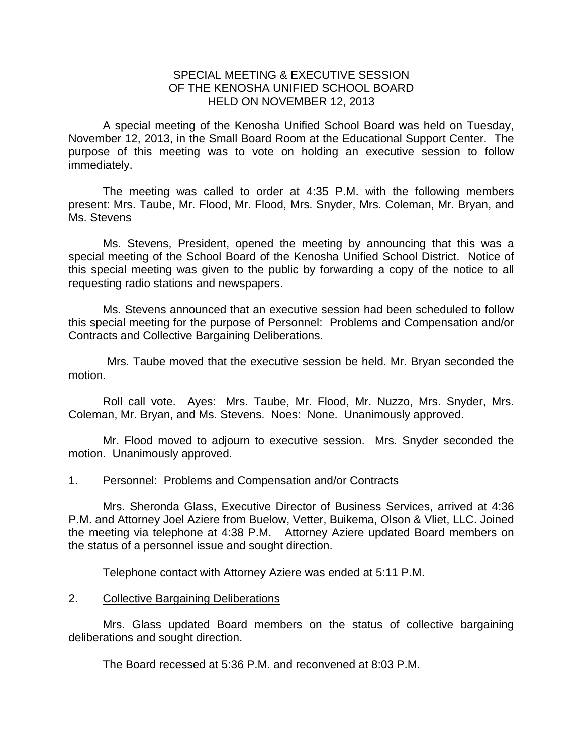## SPECIAL MEETING & EXECUTIVE SESSION OF THE KENOSHA UNIFIED SCHOOL BOARD HELD ON NOVEMBER 12, 2013

A special meeting of the Kenosha Unified School Board was held on Tuesday, November 12, 2013, in the Small Board Room at the Educational Support Center. The purpose of this meeting was to vote on holding an executive session to follow immediately.

 The meeting was called to order at 4:35 P.M. with the following members present: Mrs. Taube, Mr. Flood, Mr. Flood, Mrs. Snyder, Mrs. Coleman, Mr. Bryan, and Ms. Stevens

 Ms. Stevens, President, opened the meeting by announcing that this was a special meeting of the School Board of the Kenosha Unified School District. Notice of this special meeting was given to the public by forwarding a copy of the notice to all requesting radio stations and newspapers.

 Ms. Stevens announced that an executive session had been scheduled to follow this special meeting for the purpose of Personnel: Problems and Compensation and/or Contracts and Collective Bargaining Deliberations.

 Mrs. Taube moved that the executive session be held. Mr. Bryan seconded the motion.

 Roll call vote. Ayes: Mrs. Taube, Mr. Flood, Mr. Nuzzo, Mrs. Snyder, Mrs. Coleman, Mr. Bryan, and Ms. Stevens. Noes: None. Unanimously approved.

 Mr. Flood moved to adjourn to executive session. Mrs. Snyder seconded the motion. Unanimously approved.

## 1. Personnel: Problems and Compensation and/or Contracts

Mrs. Sheronda Glass, Executive Director of Business Services, arrived at 4:36 P.M. and Attorney Joel Aziere from Buelow, Vetter, Buikema, Olson & Vliet, LLC. Joined the meeting via telephone at 4:38 P.M. Attorney Aziere updated Board members on the status of a personnel issue and sought direction.

Telephone contact with Attorney Aziere was ended at 5:11 P.M.

## 2. Collective Bargaining Deliberations

 Mrs. Glass updated Board members on the status of collective bargaining deliberations and sought direction.

The Board recessed at 5:36 P.M. and reconvened at 8:03 P.M.